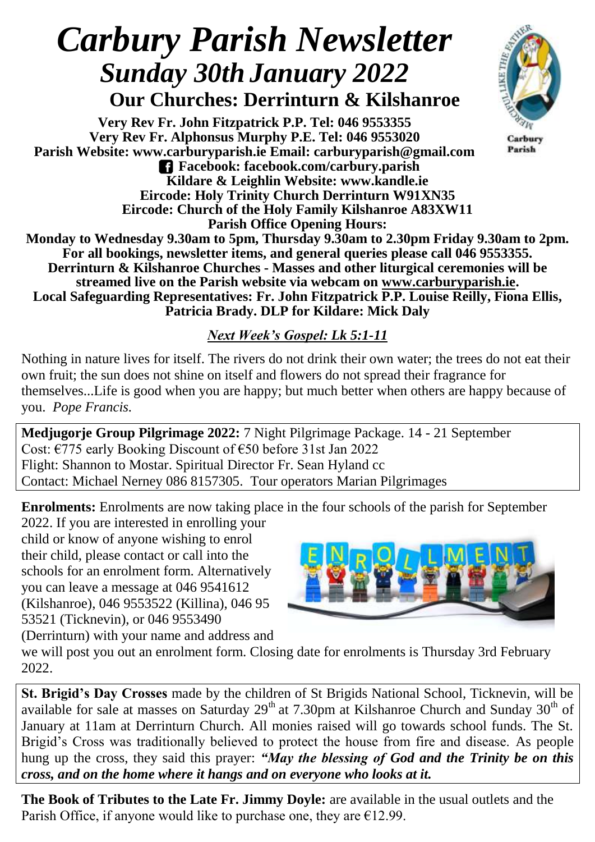## *Carbury Parish Newsletter Sunday 30th January 2022*

 **Our Churches: Derrinturn & Kilshanroe**

**Very Rev Fr. John Fitzpatrick P.P. Tel: 046 9553355 Very Rev Fr. Alphonsus Murphy P.E. Tel: 046 9553020 Parish Website: www.carburyparish.ie Email: carburyparish@gmail.com Facebook: facebook.com/carbury.parish Kildare & Leighlin Website: www.kandle.ie Eircode: Holy Trinity Church Derrinturn W91XN35 Eircode: Church of the Holy Family Kilshanroe A83XW11 Parish Office Opening Hours:**



Carbury Parish

**Monday to Wednesday 9.30am to 5pm, Thursday 9.30am to 2.30pm Friday 9.30am to 2pm. For all bookings, newsletter items, and general queries please call 046 9553355. Derrinturn & Kilshanroe Churches - Masses and other liturgical ceremonies will be streamed live on the Parish website via webcam on [www.carburyparish.ie.](http://www.carburyparish.ie/) Local Safeguarding Representatives: Fr. John Fitzpatrick P.P. Louise Reilly, Fiona Ellis, Patricia Brady. DLP for Kildare: Mick Daly**

## *Next Week's Gospel: Lk 5:1-11*

Nothing in nature lives for itself. The rivers do not drink their own water; the trees do not eat their own fruit; the sun does not shine on itself and flowers do not spread their fragrance for themselves...Life is good when you are happy; but much better when others are happy because of you. *Pope Francis.*

**Medjugorje Group Pilgrimage 2022:** 7 Night Pilgrimage Package. 14 - 21 September Cost: €775 early Booking Discount of €50 before 31st Jan 2022 Flight: Shannon to Mostar. Spiritual Director Fr. Sean Hyland cc Contact: Michael Nerney 086 8157305. Tour operators Marian Pilgrimages

**Enrolments:** Enrolments are now taking place in the four schools of the parish for September

2022. If you are interested in enrolling your child or know of anyone wishing to enrol their child, please contact or call into the schools for an enrolment form. Alternatively you can leave a message at 046 9541612 (Kilshanroe), 046 9553522 (Killina), 046 95 53521 (Ticknevin), or 046 9553490 (Derrinturn) with your name and address and



we will post you out an enrolment form. Closing date for enrolments is Thursday 3rd February 2022.

**St. Brigid's Day Crosses** made by the children of St Brigids National School, Ticknevin, will be available for sale at masses on Saturday 29<sup>th</sup> at 7.30pm at Kilshanroe Church and Sunday 30<sup>th</sup> of January at 11am at Derrinturn Church. All monies raised will go towards school funds. The St. Brigid's Cross was traditionally believed to protect the house from fire and disease. As people hung up the cross, they said this prayer: *"May the blessing of God and the Trinity be on this cross, and on the home where it hangs and on everyone who looks at it.*

**The Book of Tributes to the Late Fr. Jimmy Doyle:** are available in the usual outlets and the Parish Office, if anyone would like to purchase one, they are  $E12.99$ .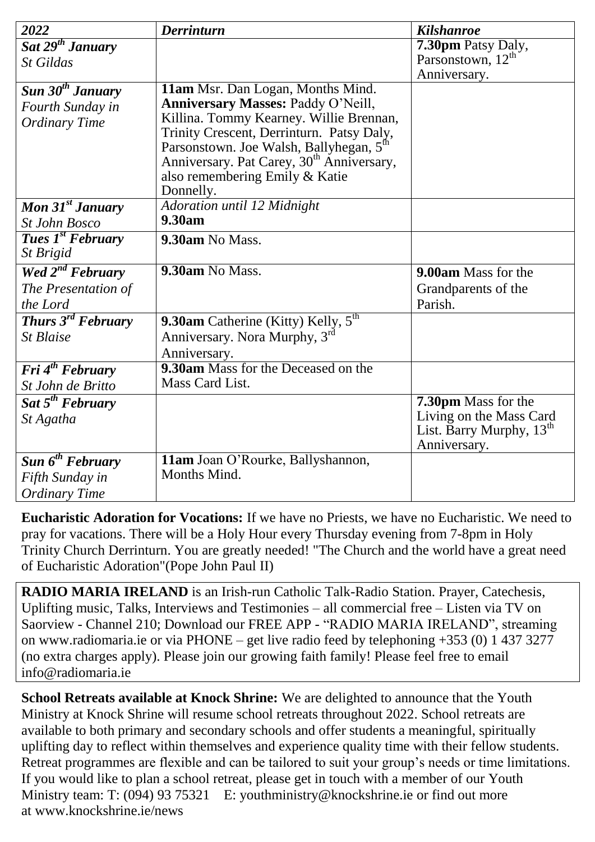| 2022                                  | <b>Derrinturn</b>                                     | <b>Kilshanroe</b>             |
|---------------------------------------|-------------------------------------------------------|-------------------------------|
| Sat $29^{th}$ January                 |                                                       | 7.30pm Patsy Daly,            |
| St Gildas                             |                                                       | Parsonstown, 12 <sup>th</sup> |
|                                       |                                                       | Anniversary.                  |
| Sun 30 <sup>th</sup> January          | 11am Msr. Dan Logan, Months Mind.                     |                               |
| Fourth Sunday in                      | Anniversary Masses: Paddy O'Neill,                    |                               |
| <b>Ordinary Time</b>                  | Killina. Tommy Kearney. Willie Brennan,               |                               |
|                                       | Trinity Crescent, Derrinturn. Patsy Daly,             |                               |
|                                       | Parsonstown. Joe Walsh, Ballyhegan, 5 <sup>th</sup>   |                               |
|                                       | Anniversary. Pat Carey, 30 <sup>th</sup> Anniversary, |                               |
|                                       | also remembering Emily & Katie                        |                               |
|                                       | Donnelly.                                             |                               |
| Mon $31st$ January                    | <b>Adoration until 12 Midnight</b><br>9.30am          |                               |
| <b>St John Bosco</b>                  |                                                       |                               |
| <b>Tues 1st February</b>              | 9.30am No Mass.                                       |                               |
| St Brigid                             |                                                       |                               |
| Wed 2 <sup>nd</sup> February          | 9.30am No Mass.                                       | 9.00am Mass for the           |
| The Presentation of                   |                                                       | Grandparents of the           |
| the Lord                              |                                                       | Parish.                       |
| <b>Thurs</b> $3^{rd}$ <b>February</b> | 9.30am Catherine (Kitty) Kelly, $5th$                 |                               |
| St Blaise                             | Anniversary. Nora Murphy, 3rd                         |                               |
|                                       | Anniversary.                                          |                               |
| <b>Fri</b> $4^{th}$ <b>February</b>   | 9.30am Mass for the Deceased on the                   |                               |
| St John de Britto                     | Mass Card List.                                       |                               |
| Sat $5^{th}$ February                 |                                                       | 7.30pm Mass for the           |
| St Agatha                             |                                                       | Living on the Mass Card       |
|                                       |                                                       | List. Barry Murphy, $13th$    |
|                                       |                                                       | Anniversary.                  |
| Sun $6^{th}$ February                 | 11am Joan O'Rourke, Ballyshannon,                     |                               |
| Fifth Sunday in                       | Months Mind.                                          |                               |
| <b>Ordinary Time</b>                  |                                                       |                               |

**Eucharistic Adoration for Vocations:** If we have no Priests, we have no Eucharistic. We need to pray for vacations. There will be a Holy Hour every Thursday evening from 7-8pm in Holy Trinity Church Derrinturn. You are greatly needed! "The Church and the world have a great need of Eucharistic Adoration"(Pope John Paul II)

**RADIO MARIA IRELAND** is an Irish-run Catholic Talk-Radio Station. Prayer, Catechesis, Uplifting music, Talks, Interviews and Testimonies – all commercial free – Listen via TV on Saorview - Channel 210; Download our FREE APP - "RADIO MARIA IRELAND", streaming on [www.radiomaria.ie](http://www.radiomaria.ie/) or via PHONE – get live radio feed by telephoning +353 (0) 1 437 3277 (no extra charges apply). Please join our growing faith family! Please feel free to email inf[o@radiomaria.ie](mailto:info@radiomaria.ie)

**School Retreats available at Knock Shrine:** We are delighted to announce that the Youth Ministry at Knock Shrine will resume school retreats throughout 2022. School retreats are available to both primary and secondary schools and offer students a meaningful, spiritually uplifting day to reflect within themselves and experience quality time with their fellow students. Retreat programmes are flexible and can be tailored to suit your group's needs or time limitations. If you would like to plan a school retreat, please get in touch with a member of our Youth Ministry team: T: (094) 93 75321 E: [youthministry@knockshrine.ie](mailto:youthministry@knockshrine.ie) or find out more at [www.knockshrine.ie/news](http://www.knockshrine.ie/news)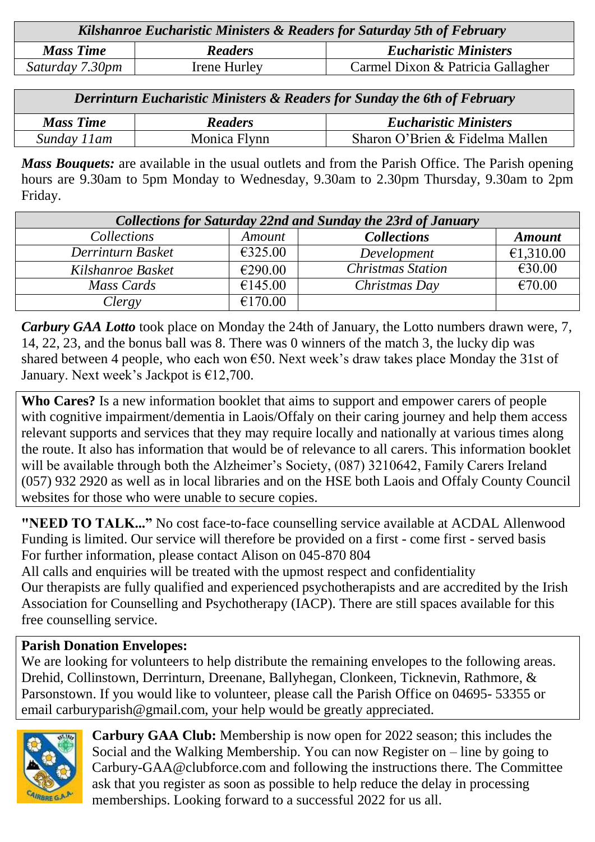| Kilshanroe Eucharistic Ministers & Readers for Saturday 5th of February |                |                                   |  |  |
|-------------------------------------------------------------------------|----------------|-----------------------------------|--|--|
| <b>Mass Time</b>                                                        | <b>Readers</b> | <b>Eucharistic Ministers</b>      |  |  |
| Saturday 7.30pm                                                         | Irene Hurley   | Carmel Dixon & Patricia Gallagher |  |  |

| Derrinturn Eucharistic Ministers & Readers for Sunday the 6th of February |                |                                 |  |  |
|---------------------------------------------------------------------------|----------------|---------------------------------|--|--|
| <b>Mass Time</b>                                                          | <b>Readers</b> | <b>Eucharistic Ministers</b>    |  |  |
| Sunday 11 am                                                              | Monica Flynn   | Sharon O'Brien & Fidelma Mallen |  |  |

*Mass Bouquets:* are available in the usual outlets and from the Parish Office. The Parish opening hours are 9.30am to 5pm Monday to Wednesday, 9.30am to 2.30pm Thursday, 9.30am to 2pm Friday.

| <b>Collections for Saturday 22nd and Sunday the 23rd of January</b> |         |                          |               |  |  |
|---------------------------------------------------------------------|---------|--------------------------|---------------|--|--|
| <i>Collections</i>                                                  | Amount  | <b>Collections</b>       | <b>Amount</b> |  |  |
| Derrinturn Basket                                                   | €325.00 | Development              | €1,310.00     |  |  |
| Kilshanroe Basket                                                   | €290.00 | <b>Christmas Station</b> | €30.00        |  |  |
| Mass Cards                                                          | €145.00 | Christmas Day            | €70.00        |  |  |
| Clergy                                                              | €170.00 |                          |               |  |  |

*Carbury GAA Lotto* took place on Monday the 24th of January, the Lotto numbers drawn were, 7, 14, 22, 23, and the bonus ball was 8. There was 0 winners of the match 3, the lucky dip was shared between 4 people, who each won  $\epsilon$ 50. Next week's draw takes place Monday the 31st of January. Next week's Jackpot is  $£12,700$ .

**Who Cares?** Is a new information booklet that aims to support and empower carers of people with cognitive impairment/dementia in Laois/Offaly on their caring journey and help them access relevant supports and services that they may require locally and nationally at various times along the route. It also has information that would be of relevance to all carers. This information booklet will be available through both the Alzheimer's Society, (087) 3210642, Family Carers Ireland (057) 932 2920 as well as in local libraries and on the HSE both Laois and Offaly County Council websites for those who were unable to secure copies.

**"NEED TO TALK..."** No cost face-to-face counselling service available at ACDAL Allenwood Funding is limited. Our service will therefore be provided on a first - come first - served basis For further information, please contact Alison on 045-870 804

All calls and enquiries will be treated with the upmost respect and confidentiality Our therapists are fully qualified and experienced psychotherapists and are accredited by the Irish Association for Counselling and Psychotherapy (IACP). There are still spaces available for this free counselling service.

## **Parish Donation Envelopes:**

We are looking for volunteers to help distribute the remaining envelopes to the following areas. Drehid, Collinstown, Derrinturn, Dreenane, Ballyhegan, Clonkeen, Ticknevin, Rathmore, & Parsonstown. If you would like to volunteer, please call the Parish Office on 04695- 53355 or email carburyparish@gmail.com, your help would be greatly appreciated.



**Carbury GAA Club:** Membership is now open for 2022 season; this includes the Social and the Walking Membership. You can now Register on – line by going to Carbury-GAA@clubforce.com and following the instructions there. The Committee ask that you register as soon as possible to help reduce the delay in processing memberships. Looking forward to a successful 2022 for us all.